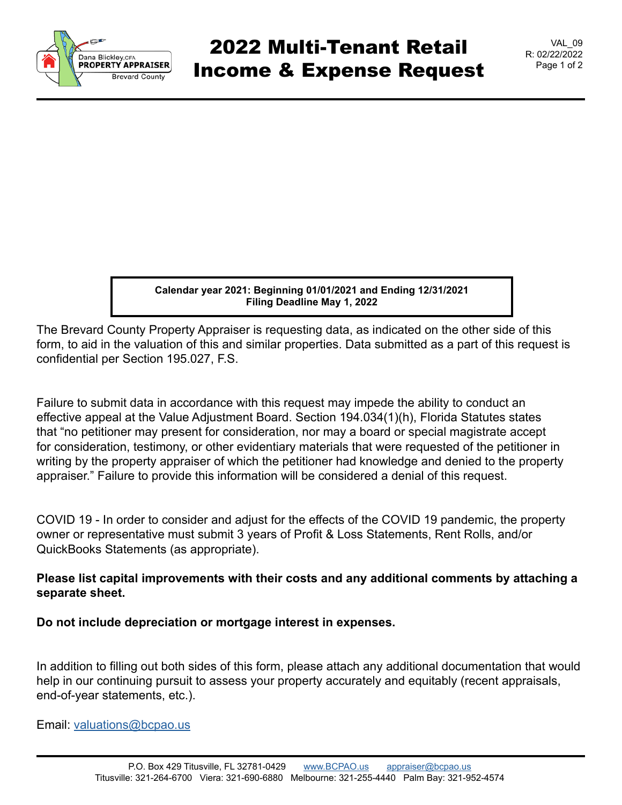

**Calendar year 2021: Beginning 01/01/2021 and Ending 12/31/2021 Filing Deadline May 1, 2022**

The Brevard County Property Appraiser is requesting data, as indicated on the other side of this form, to aid in the valuation of this and similar properties. Data submitted as a part of this request is confidential per Section 195.027, F.S.

Failure to submit data in accordance with this request may impede the ability to conduct an effective appeal at the Value Adjustment Board. Section 194.034(1)(h), Florida Statutes states that "no petitioner may present for consideration, nor may a board or special magistrate accept for consideration, testimony, or other evidentiary materials that were requested of the petitioner in writing by the property appraiser of which the petitioner had knowledge and denied to the property appraiser." Failure to provide this information will be considered a denial of this request.

COVID 19 - In order to consider and adjust for the effects of the COVID 19 pandemic, the property owner or representative must submit 3 years of Profit & Loss Statements, Rent Rolls, and/or QuickBooks Statements (as appropriate).

## **Please list capital improvements with their costs and any additional comments by attaching a separate sheet.**

**Do not include depreciation or mortgage interest in expenses.**

In addition to filling out both sides of this form, please attach any additional documentation that would help in our continuing pursuit to assess your property accurately and equitably (recent appraisals, end-of-year statements, etc.).

Email: [valuations@bcpao.us](mailto: valuations@bcpao.us)